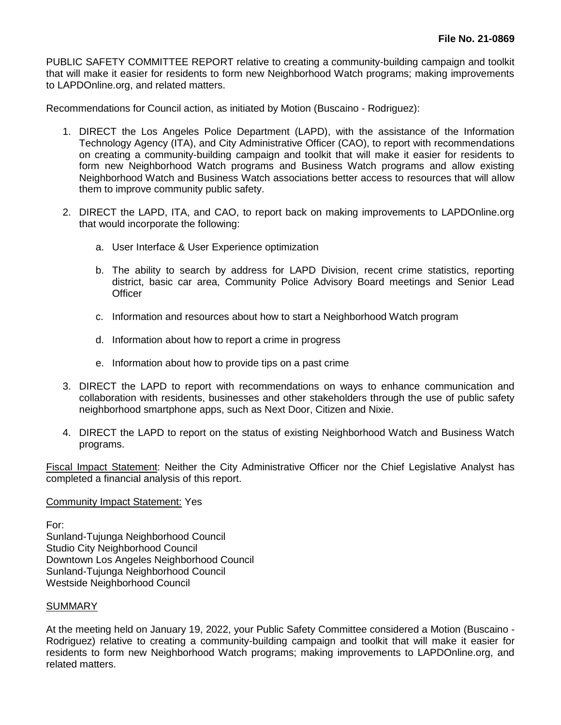PUBLIC SAFETY COMMITTEE REPORT relative to creating a community-building campaign and toolkit that will make it easier for residents to form new Neighborhood Watch programs; making improvements to LAPDOnline.org, and related matters.

Recommendations for Council action, as initiated by Motion (Buscaino - Rodriguez):

- 1. DIRECT the Los Angeles Police Department (LAPD), with the assistance of the Information Technology Agency (ITA), and City Administrative Officer (CAO), to report with recommendations on creating a community-building campaign and toolkit that will make it easier for residents to form new Neighborhood Watch programs and Business Watch programs and allow existing Neighborhood Watch and Business Watch associations better access to resources that will allow them to improve community public safety.
- 2. DIRECT the LAPD, ITA, and CAO, to report back on making improvements to LAPDOnline.org that would incorporate the following:
	- a. User Interface & User Experience optimization
	- b. The ability to search by address for LAPD Division, recent crime statistics, reporting district, basic car area, Community Police Advisory Board meetings and Senior Lead **Officer**
	- c. Information and resources about how to start a Neighborhood Watch program
	- d. Information about how to report a crime in progress
	- e. Information about how to provide tips on a past crime
- 3. DIRECT the LAPD to report with recommendations on ways to enhance communication and collaboration with residents, businesses and other stakeholders through the use of public safety neighborhood smartphone apps, such as Next Door, Citizen and Nixie.
- 4. DIRECT the LAPD to report on the status of existing Neighborhood Watch and Business Watch programs.

Fiscal Impact Statement: Neither the City Administrative Officer nor the Chief Legislative Analyst has completed a financial analysis of this report.

## Community Impact Statement: Yes

For:

Sunland-Tujunga Neighborhood Council Studio City Neighborhood Council Downtown Los Angeles Neighborhood Council Sunland-Tujunga Neighborhood Council Westside Neighborhood Council

## **SUMMARY**

At the meeting held on January 19, 2022, your Public Safety Committee considered a Motion (Buscaino - Rodriguez) relative to creating a community-building campaign and toolkit that will make it easier for residents to form new Neighborhood Watch programs; making improvements to LAPDOnline.org, and related matters.